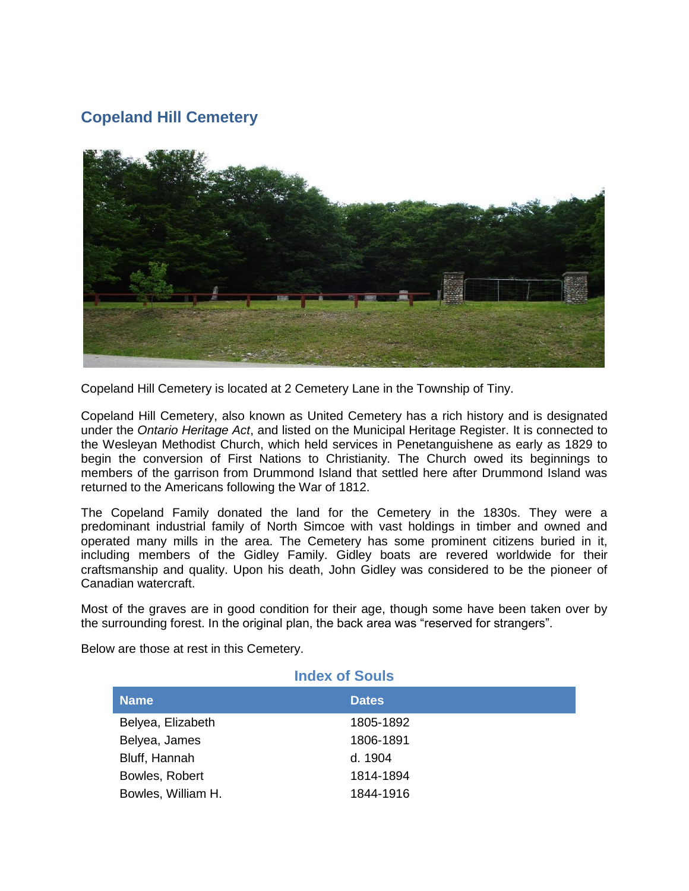## **Copeland Hill Cemetery**



Copeland Hill Cemetery is located at 2 Cemetery Lane in the Township of Tiny.

Copeland Hill Cemetery, also known as United Cemetery has a rich history and is designated under the *Ontario Heritage Act*, and listed on the Municipal Heritage Register. It is connected to the Wesleyan Methodist Church, which held services in Penetanguishene as early as 1829 to begin the conversion of First Nations to Christianity. The Church owed its beginnings to members of the garrison from Drummond Island that settled here after Drummond Island was returned to the Americans following the War of 1812.

The Copeland Family donated the land for the Cemetery in the 1830s. They were a predominant industrial family of North Simcoe with vast holdings in timber and owned and operated many mills in the area. The Cemetery has some prominent citizens buried in it, including members of the Gidley Family. Gidley boats are revered worldwide for their craftsmanship and quality. Upon his death, John Gidley was considered to be the pioneer of Canadian watercraft.

Most of the graves are in good condition for their age, though some have been taken over by the surrounding forest. In the original plan, the back area was "reserved for strangers".

Below are those at rest in this Cemetery.

| <b>Index of Souls</b> |              |  |
|-----------------------|--------------|--|
| <b>Name</b>           | <b>Dates</b> |  |
| Belyea, Elizabeth     | 1805-1892    |  |
| Belyea, James         | 1806-1891    |  |
| Bluff, Hannah         | d. 1904      |  |
| Bowles, Robert        | 1814-1894    |  |
| Bowles, William H.    | 1844-1916    |  |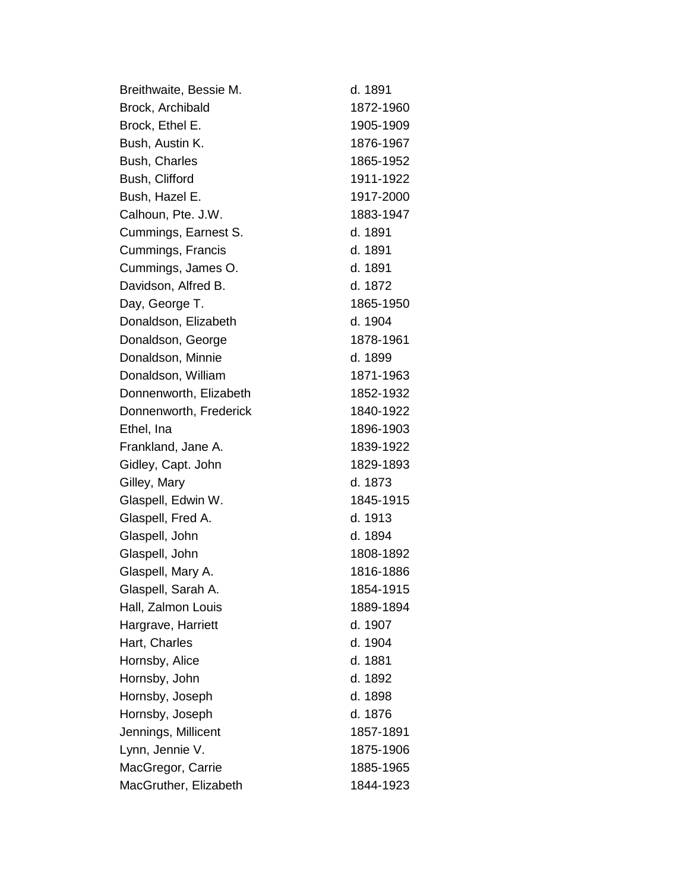| Breithwaite, Bessie M. | d. 1891   |
|------------------------|-----------|
| Brock, Archibald       | 1872-1960 |
| Brock, Ethel E.        | 1905-1909 |
| Bush, Austin K.        | 1876-1967 |
| Bush, Charles          | 1865-1952 |
| Bush, Clifford         | 1911-1922 |
| Bush, Hazel E.         | 1917-2000 |
| Calhoun, Pte. J.W.     | 1883-1947 |
| Cummings, Earnest S.   | d. 1891   |
| Cummings, Francis      | d. 1891   |
| Cummings, James O.     | d. 1891   |
| Davidson, Alfred B.    | d. 1872   |
| Day, George T.         | 1865-1950 |
| Donaldson, Elizabeth   | d. 1904   |
| Donaldson, George      | 1878-1961 |
| Donaldson, Minnie      | d. 1899   |
| Donaldson, William     | 1871-1963 |
| Donnenworth, Elizabeth | 1852-1932 |
| Donnenworth, Frederick | 1840-1922 |
| Ethel, Ina             | 1896-1903 |
| Frankland, Jane A.     | 1839-1922 |
| Gidley, Capt. John     | 1829-1893 |
| Gilley, Mary           | d. 1873   |
| Glaspell, Edwin W.     | 1845-1915 |
| Glaspell, Fred A.      | d. 1913   |
| Glaspell, John         | d. 1894   |
| Glaspell, John         | 1808-1892 |
| Glaspell, Mary A.      | 1816-1886 |
| Glaspell, Sarah A.     | 1854-1915 |
| Hall, Zalmon Louis     | 1889-1894 |
| Hargrave, Harriett     | d. 1907   |
| Hart, Charles          | d. 1904   |
| Hornsby, Alice         | d. 1881   |
| Hornsby, John          | d. 1892   |
| Hornsby, Joseph        | d. 1898   |
| Hornsby, Joseph        | d. 1876   |
| Jennings, Millicent    | 1857-1891 |
| Lynn, Jennie V.        | 1875-1906 |
| MacGregor, Carrie      | 1885-1965 |
| MacGruther, Elizabeth  | 1844-1923 |